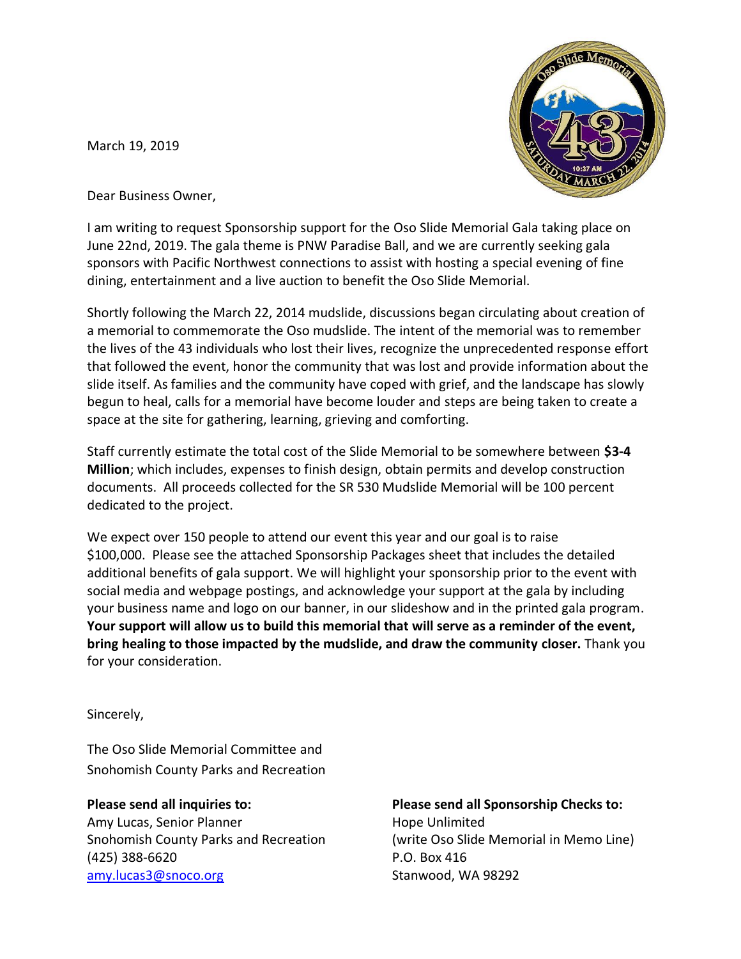March 19, 2019



Dear Business Owner,

I am writing to request Sponsorship support for the Oso Slide Memorial Gala taking place on June 22nd, 2019. The gala theme is PNW Paradise Ball, and we are currently seeking gala sponsors with Pacific Northwest connections to assist with hosting a special evening of fine dining, entertainment and a live auction to benefit the Oso Slide Memorial.

Shortly following the March 22, 2014 mudslide, discussions began circulating about creation of a memorial to commemorate the Oso mudslide. The intent of the memorial was to remember the lives of the 43 individuals who lost their lives, recognize the unprecedented response effort that followed the event, honor the community that was lost and provide information about the slide itself. As families and the community have coped with grief, and the landscape has slowly begun to heal, calls for a memorial have become louder and steps are being taken to create a space at the site for gathering, learning, grieving and comforting.

Staff currently estimate the total cost of the Slide Memorial to be somewhere between **\$3-4 Million**; which includes, expenses to finish design, obtain permits and develop construction documents. All proceeds collected for the SR 530 Mudslide Memorial will be 100 percent dedicated to the project.

We expect over 150 people to attend our event this year and our goal is to raise \$100,000. Please see the attached Sponsorship Packages sheet that includes the detailed additional benefits of gala support. We will highlight your sponsorship prior to the event with social media and webpage postings, and acknowledge your support at the gala by including your business name and logo on our banner, in our slideshow and in the printed gala program. **Your support will allow us to build this memorial that will serve as a reminder of the event, bring healing to those impacted by the mudslide, and draw the community closer.** Thank you for your consideration.

Sincerely,

The Oso Slide Memorial Committee and Snohomish County Parks and Recreation

**Please send all inquiries to: Please send all Sponsorship Checks to:** Amy Lucas, Senior Planner **Hope Unlimited** (425) 388-6620 P.O. Box 416 amy.lucas3@snoco.org Stanwood, WA 98292

Snohomish County Parks and Recreation (write Oso Slide Memorial in Memo Line)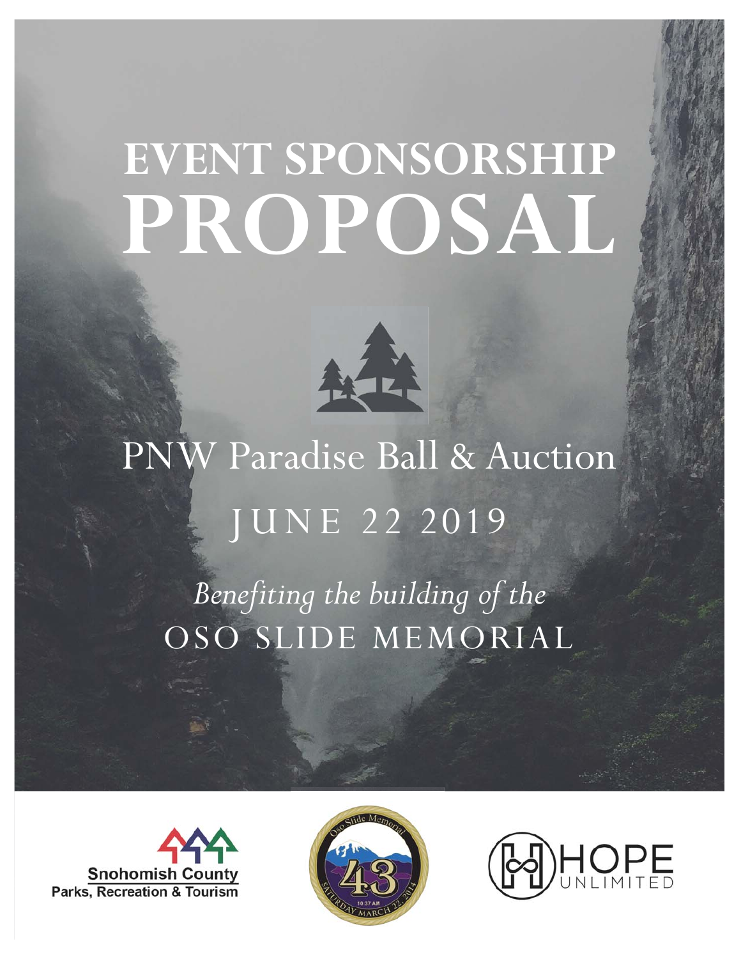# **EVENT SPONSORSHIP PROPOSAL**



PNW Paradise Ball & Auction JUNE 22 2019 *Benefiting the building of the*  OSO SLIDE MEMORIAL





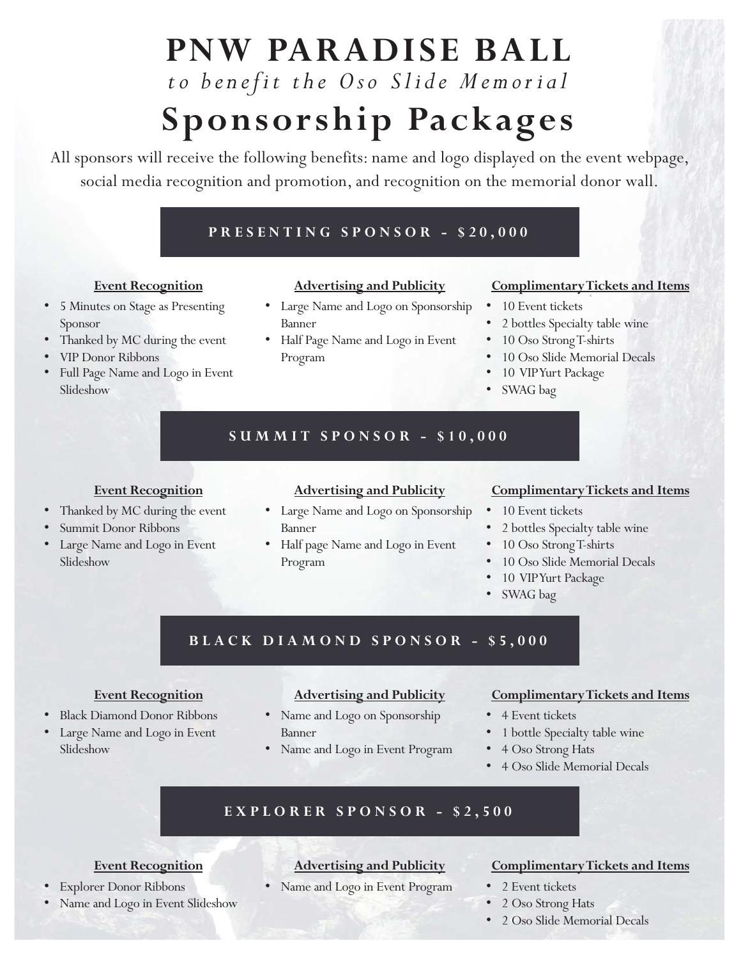### **PNW PARADISE BALL**

## *to benefit the Oso Slide Memorial*

### **Sponsorship Packages**

All sponsors will receive the following benefits: name and logo displayed on the event webpage, social media recognition and promotion, and recognition on the memorial donor wall.

#### **PRESENTING SPONSOR - \$20,000**

#### **Event Recognition**

- 5 Minutes on Stage as Presenting Sponsor
- Thanked by MC during the event
- VIP Donor Ribbons
- Full Page Name and Logo in Event Slideshow

#### **Advertising and Publicity**

- Large Name and Logo on Sponsorship Banner
- Half Page Name and Logo in Event Program

#### **Complimentary Tickets and Items**

- 10 Event tickets
	- 2 bottles Specialty table wine
- 10 Oso Strong T-shirts
- 10 Oso Slide Memorial Decals
- 10 VIP Yurt Package
- SWAG bag

#### **SUMMIT SPONSOR - \$10,000**

#### **Event Recognition**

- Thanked by MC during the event
- Summit Donor Ribbons
- Large Name and Logo in Event Slideshow

#### **Advertising and Publicity**

- Large Name and Logo on Sponsorship Banner
- Half page Name and Logo in Event Program

#### **Complimentary Tickets and Items**

- 10 Event tickets
- 2 bottles Specialty table wine
- 10 Oso Strong T-shirts
- 10 Oso Slide Memorial Decals
- 10 VIP Yurt Package
- SWAG bag

#### **BLACK DIAMOND SPONSOR - \$5,000**

#### **Event Recognition**

- Black Diamond Donor Ribbons
- Large Name and Logo in Event Slideshow

#### **Advertising and Publicity**

- Name and Logo on Sponsorship Banner
- Name and Logo in Event Program

#### **Complimentary Tickets and Items**

- 4 Event tickets
- 1 bottle Specialty table wine
- 4 Oso Strong Hats
- 4 Oso Slide Memorial Decals

#### **EXPLORER SPONSOR - \$2,500**

#### **Event Recognition**

- Explorer Donor Ribbons
- Name and Logo in Event Slideshow

#### **Advertising and Publicity**

Name and Logo in Event Program

#### **Complimentary Tickets and Items**

- 2 Event tickets
- 2 Oso Strong Hats
- 2 Oso Slide Memorial Decals